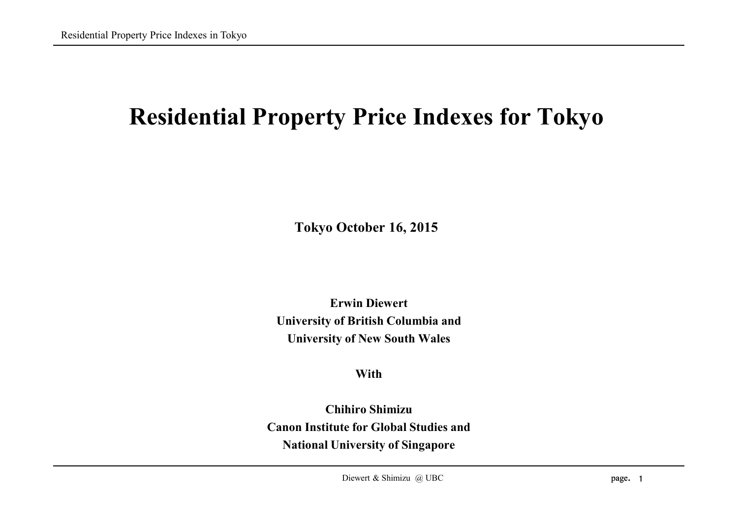# **Residential Property Price Indexes for Tokyo**

**Tokyo October 16, 2015**

**Erwin Diewert University of British Columbia and University of New South Wales**

**With**

**Chihiro Shimizu Canon Institute for Global Studies and National University of Singapore**

Diewert & Shimizu @ UBC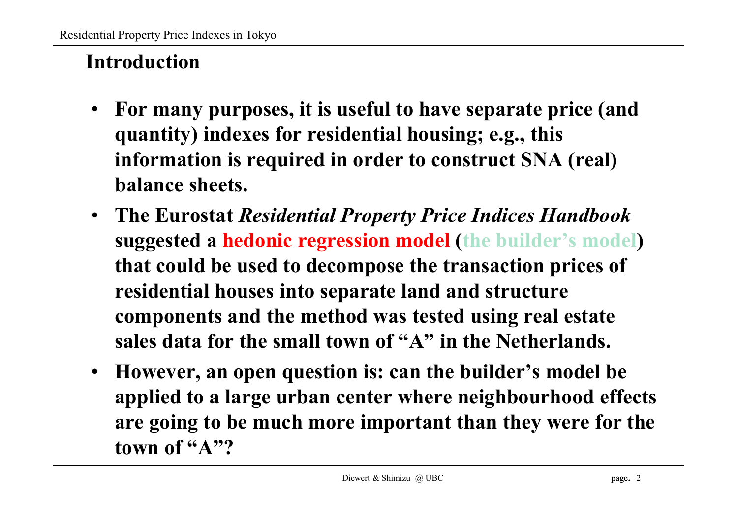# **Introduction**

- **For many purposes, it is useful to have separate price (and quantity) indexes for residential housing; e.g., this information is required in order to construct SNA (real) balance sheets.**
- **The Eurostat** *Residential Property Price Indices Handbook* **suggested a hedonic regression model (the builder's model) that could be used to decompose the transaction prices of residential houses into separate land and structure components and the method was tested using real estate sales data for the small town of "A" in the Netherlands.**
- **However, an open question is: can the builder's model be applied to a large urban center where neighbourhood effects are going to be much more important than they were for the town of "A"?**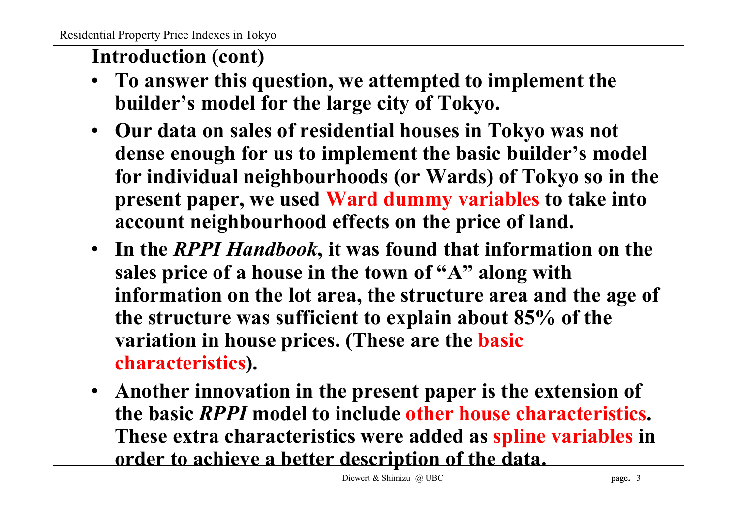## **Introduction (cont)**

- **To answer this question, we attempted to implement the builder's model for the large city of Tokyo.**
- **Our data on sales of residential houses in Tokyo was not dense enough for us to implement the basic builder's model for individual neighbourhoods (or Wards) of Tokyo so in the present paper, we used Ward dummy variables to take into account neighbourhood effects on the price of land.**
- **In the** *RPPI Handbook***, it was found that information on the sales price of a house in the town of "A" along with information on the lot area, the structure area and the age of the structure was sufficient to explain about 85% of the variation in house prices. (These are the basic characteristics).**
- **Another innovation in the present paper is the extension of the basic** *RPPI* **model to include other house characteristics. These extra characteristics were added as spline variables in order to achieve a better description of the data.**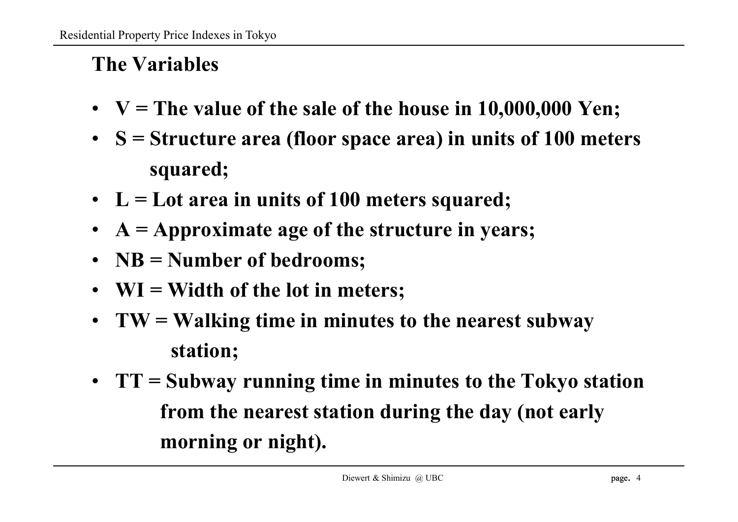# **The Variables**

- **V = The value of the sale of the house in 10,000,000 Yen;**
- **S = Structure area (floor space area) in units of 100 meters squared;**
- **L = Lot area in units of 100 meters squared;**
- **A = Approximate age of the structure in years;**
- **NB = Number of bedrooms;**
- **WI = Width of the lot in meters;**
- **TW = Walking time in minutes to the nearest subway station;**
- **TT = Subway running time in minutes to the Tokyo station from the nearest station during the day (not early morning or night).**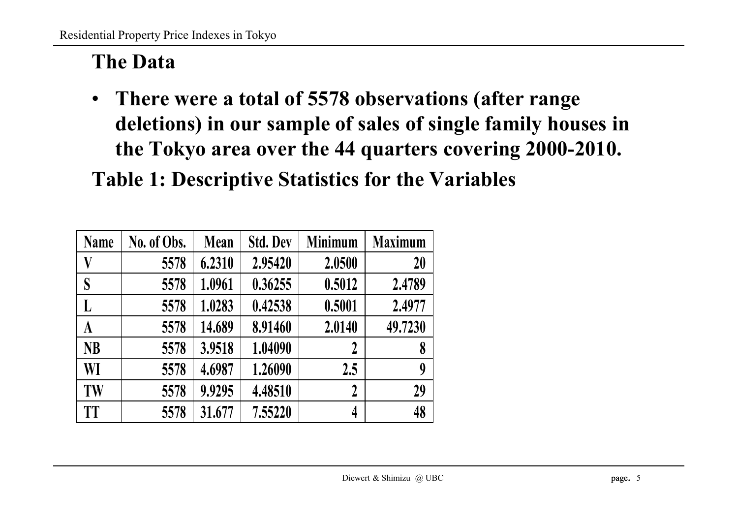# **The Data**

• **There were a total of 5578 observations (after range deletions) in our sample of sales of single family houses in the Tokyo area over the 44 quarters covering 2000-2010.**

**Table 1: Descriptive Statistics for the Variables**

| <b>Name</b> | No. of Obs. | <b>Mean</b> | <b>Std. Dev</b> | <b>Minimum</b>   | <b>Maximum</b> |
|-------------|-------------|-------------|-----------------|------------------|----------------|
| V           | 5578        | 6.2310      | 2.95420         | 2.0500           | 20             |
| S           | 5578        | 1.0961      | 0.36255         | 0.5012           | 2.4789         |
| L           | 5578        | 1.0283      | 0.42538         | 0.5001           | 2.4977         |
| A           | 5578        | 14.689      | 8.91460         | 2.0140           | 49.7230        |
| <b>NB</b>   | 5578        | 3.9518      | 1.04090         | 2                | 8              |
| WI          | 5578        | 4.6987      | 1.26090         | 2.5              | 9              |
| TW          | 5578        | 9.9295      | 4.48510         | $\boldsymbol{2}$ | 29             |
| <b>TT</b>   | 5578        | 31.677      | 7.55220         | 4                | 48             |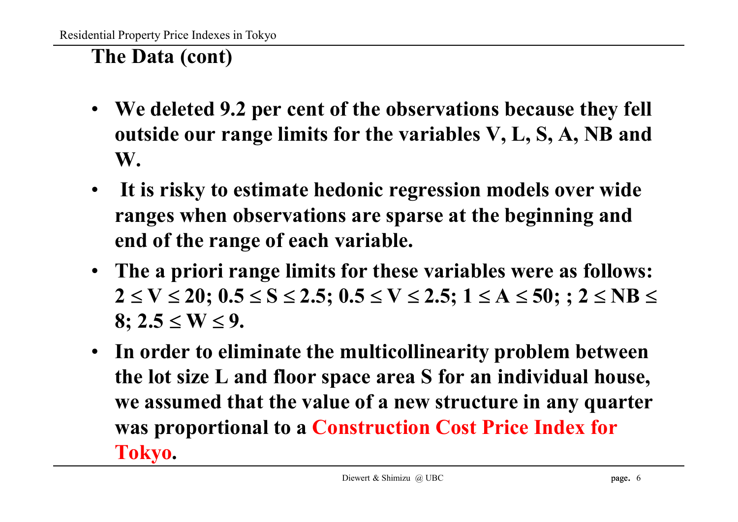# **The Data (cont)**

- **We deleted 9.2 per cent of the observations because they fell outside our range limits for the variables V, L, S, A, NB and W.**
- **It is risky to estimate hedonic regression models over wide ranges when observations are sparse at the beginning and end of the range of each variable.**
- **The a priori range limits for these variables were as follows:**  $2 \le V \le 20$ ;  $0.5 \le S \le 2.5$ ;  $0.5 \le V \le 2.5$ ;  $1 \le A \le 50$ ;  $: 2 \le NB \le 2.5$  $8: 2.5 \le W \le 9.$
- **In order to eliminate the multicollinearity problem between the lot size L and floor space area S for an individual house, we assumed that the value of a new structure in any quarter was proportional to a Construction Cost Price Index for Tokyo.**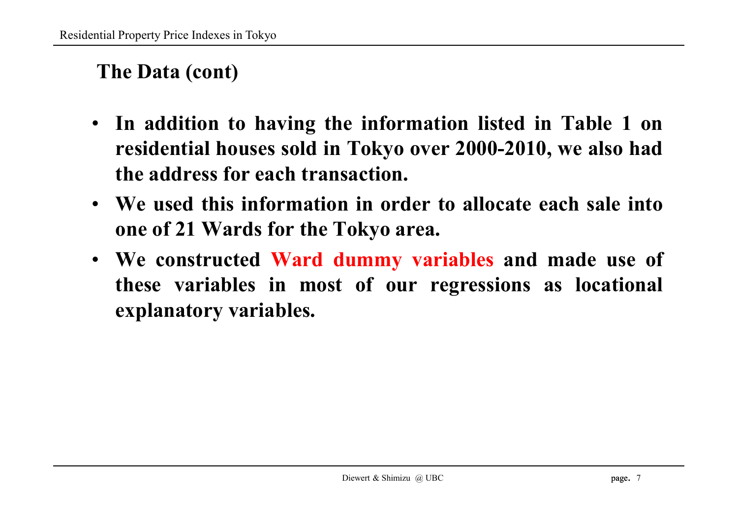## **The Data (cont)**

- **In addition to having the information listed in Table 1 on residential houses sold in Tokyo over 2000-2010, we also had the address for each transaction.**
- **We used this information in order to allocate each sale into one of 21 Wards for the Tokyo area.**
- **We constructed Ward dummy variables and made use of these variables in most of our regressions as locational explanatory variables.**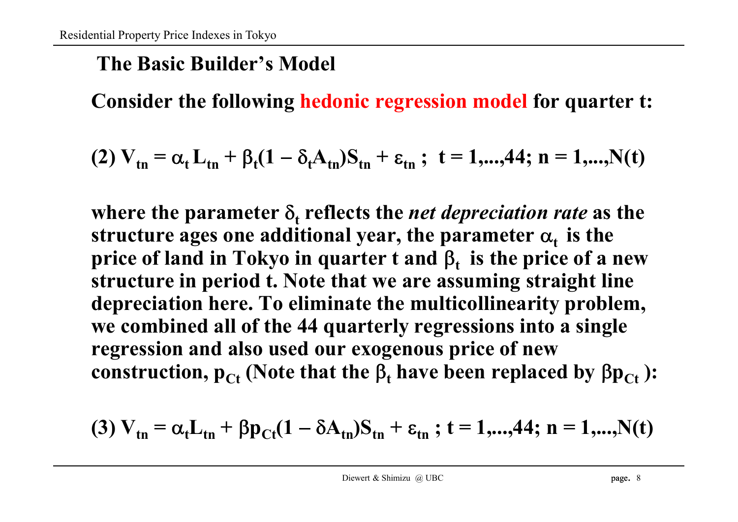## **The Basic Builder's Model**

**Consider the following hedonic regression model for quarter t:**

(2) 
$$
V_{tn} = \alpha_t L_{tn} + \beta_t (1 - \delta_t A_{tn}) S_{tn} + \varepsilon_{tn}
$$
; t = 1,...,44; n = 1,...,N(t)

where the parameter  $\delta_{\text{t}}$  reflects the *net depreciation rate* as the  ${\bf s}$  tructure ages one additional year, the parameter  ${\bf \alpha_t}$  is the **price of land in Tokyo in quarter t and <sup>t</sup> is the price of a new structure in period t. Note that we are assuming straight line depreciation here. To eliminate the multicollinearity problem, we combined all of the 44 quarterly regressions into a single regression and also used our exogenous price of new** construction,  $p_{Ct}$  (Note that the  $\beta_t$  have been replaced by  $\beta p_{Ct}$ ):

(3) 
$$
V_{tn} = \alpha_t L_{tn} + \beta p_{Ct} (1 - \delta A_{tn}) S_{tn} + \varepsilon_{tn}
$$
; t = 1,...,44; n = 1,...,N(t)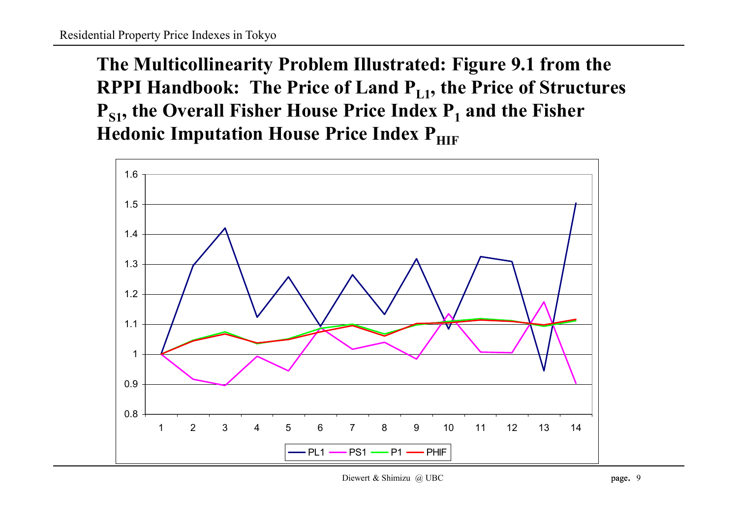**The Multicollinearity Problem Illustrated: Figure 9.1 from the RPPI Handbook: The Price of Land PL1 , the Price of Structures PS1 , the Overall Fisher House Price Index P<sup>1</sup> and the Fisher Hedonic Imputation House Price Index PHIF** 

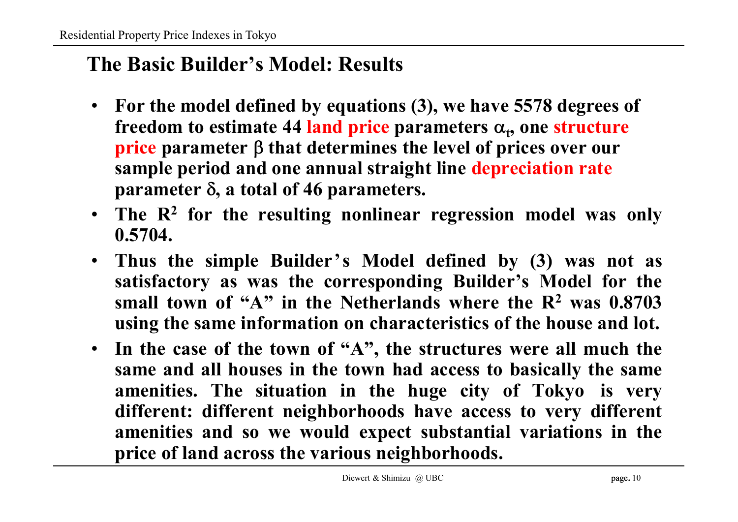### **The Basic Builder's Model: Results**

- **For the model defined by equations (3), we have 5578 degrees of** freedom to estimate 44 land price parameters  $\alpha_t$ , one structure **price** parameter  $\beta$  that determines the level of prices over our **sample period and one annual straight line depreciation rate**  $\beta$  **parameter**  $\delta$ , **a** total of 46 parameters.
- **The R<sup>2</sup> for the resulting nonlinear regression model was only 0.5704.**
- **Thus the simple Builder's Model defined by (3) was not as satisfactory as was the corresponding Builder's Model for the small town of "A" in the Netherlands where the R<sup>2</sup> was 0.8703 using the same information on characteristics of the house and lot.**
- **In the case of the town of "A" , the structures were all much the same and all houses in the town had access to basically the same amenities. The situation in the huge city of Tokyo is very different: different neighborhoods have access to very different amenities and so we would expect substantial variations in the price of land across the various neighborhoods.**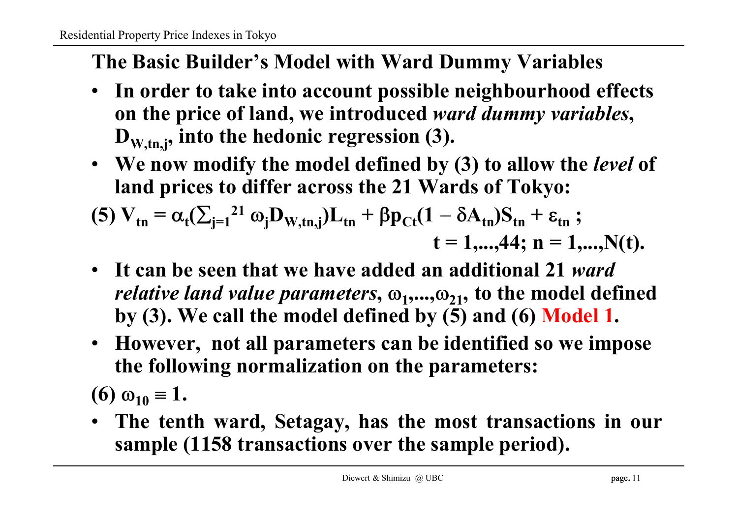# **The Basic Builder's Model with Ward Dummy Variables**

- **In order to take into account possible neighbourhood effects on the price of land, we introduced** *ward dummy variables***, DW,tn,j , into the hedonic regression (3).**
- **We now modify the model defined by (3) to allow the** *level* **of land prices to differ across the 21 Wards of Tokyo:**

(5) 
$$
V_{tn} = \alpha_t (\sum_{j=1}^{21} \omega_j D_{W,tn,j}) L_{tn} + \beta p_{Ct} (1 - \delta A_{tn}) S_{tn} + \varepsilon_{tn} ;
$$
  
\n $t = 1,...,44; n = 1,...,N(t).$ 

- **It can be seen that we have added an additional 21** *ward relative land value parameters,*  $\omega_1, ..., \omega_{21}$ , to the model defined **by (3). We call the model defined by (5) and (6) Model 1.**
- **However, not all parameters can be identified so we impose the following normalization on the parameters:**

**(6)**  $\omega_{10} \equiv 1$ .

• **The tenth ward, Setagay, has the most transactions in our sample (1158 transactions over the sample period).**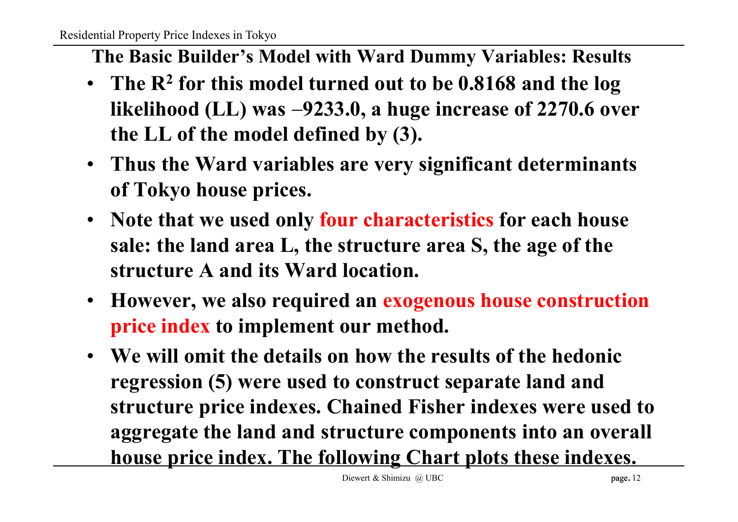- **The Basic Builder's Model with Ward Dummy Variables: Results**
- **The R<sup>2</sup> for this model turned out to be 0.8168 and the log likelihood (LL) was 9233.0, a huge increase of 2270.6 over the LL of the model defined by (3).**
- **Thus the Ward variables are very significant determinants of Tokyo house prices.**
- **Note that we used only four characteristics for each house sale: the land area L, the structure area S, the age of the structure A and its Ward location.**
- **However, we also required an exogenous house construction price index to implement our method.**
- **We will omit the details on how the results of the hedonic regression (5) were used to construct separate land and structure price indexes. Chained Fisher indexes were used to aggregate the land and structure components into an overall house price index. The following Chart plots these indexes.**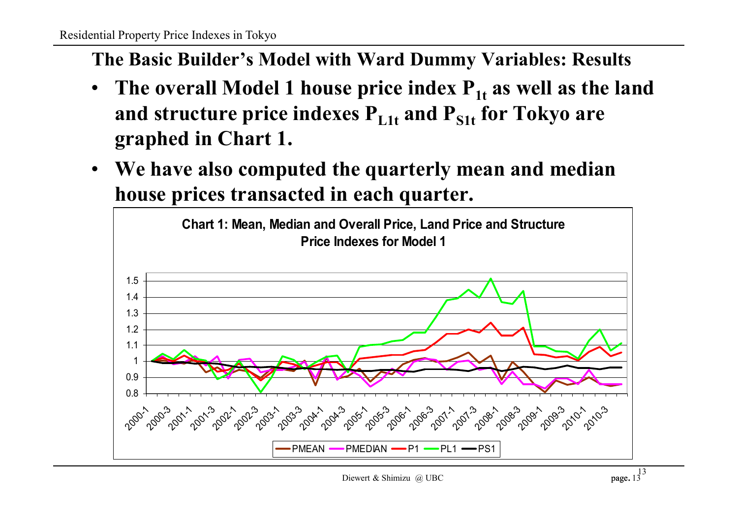**The Basic Builder's Model with Ward Dummy Variables: Results**

- **The overall Model 1 house price index P1t as well as the land and structure price indexes PL1t and PS1t for Tokyo are graphed in Chart 1.**
- **We have also computed the quarterly mean and median house prices transacted in each quarter.**

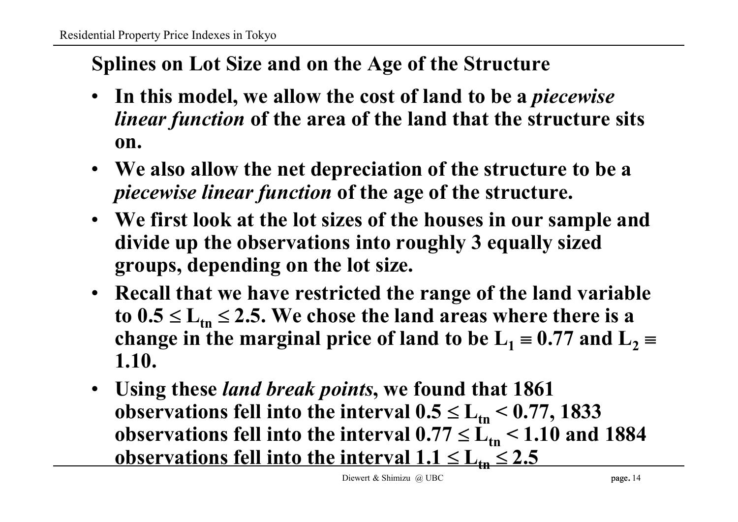# **Splines on Lot Size and on the Age of the Structure**

- **In this model, we allow the cost of land to be a** *piecewise linear function* **of the area of the land that the structure sits on.**
- **We also allow the net depreciation of the structure to be a** *piecewise linear function* **of the age of the structure.**
- **We first look at the lot sizes of the houses in our sample and divide up the observations into roughly 3 equally sized groups, depending on the lot size.**
- **Recall that we have restricted the range of the land variable**  $\text{to } 0.5 \leq L_{\text{tn}} \leq 2.5$ . We chose the land areas where there is a **change** in the marginal price of land to be  $L_1 = 0.77$  and  $L_2 =$ **1.10.**
- **Using these** *land break points***, we found that 1861 observations fell into the interval**  $0.5 \le L_{\text{tn}} < 0.77, 1833$  $\boldsymbol{\delta}$  **observations fell into the interval**  $0.77 \leq L_{\rm tn} < 1.10$  **and**  $1884$ **<u>observations fell into the interval**  $1.1 \le L_{\text{th}} \le 2.5$ </u>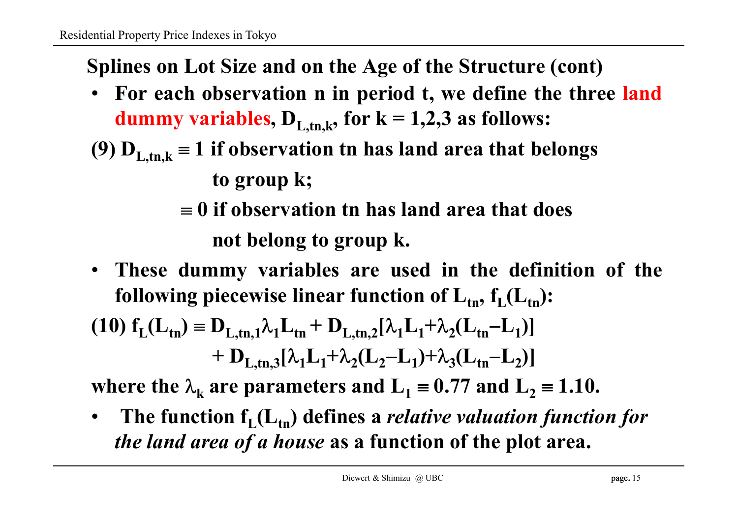**Splines on Lot Size and on the Age of the Structure (cont)**

- **For each observation n in period t, we define the three land dummy variables**,  $D_{L,tn,k}$ , for  $k = 1,2,3$  as follows:
- **(9)**  $D_{L,tn,k} \equiv 1$  **if** observation tn has land area that belongs

**to group k;**

- **0 if observation tn has land area that does not belong to group k.**
- **These dummy variables are used in the definition of the following piecewise linear function of**  $\mathbf{L}_{\mathsf{tn}}, \mathbf{f}_{\mathsf{L}}(\mathbf{L}_{\mathsf{tn}})$ **:**

(10) 
$$
f_L(L_{tn}) = D_{L,tn,1} \lambda_1 L_{tn} + D_{L,tn,2}[\lambda_1 L_1 + \lambda_2 (L_{tn} - L_1)]
$$
  
+  $D_{L,tn,3}[\lambda_1 L_1 + \lambda_2 (L_2 - L_1) + \lambda_3 (L_{tn} - L_2)]$ 

**where the**  $\lambda_k$  are parameters and  $L_1 \equiv 0.77$  and  $L_2 \equiv 1.10$ .

• **The function f<sup>L</sup> (Ltn ) defines a** *relative valuation function for the land area of a house* **as a function of the plot area.**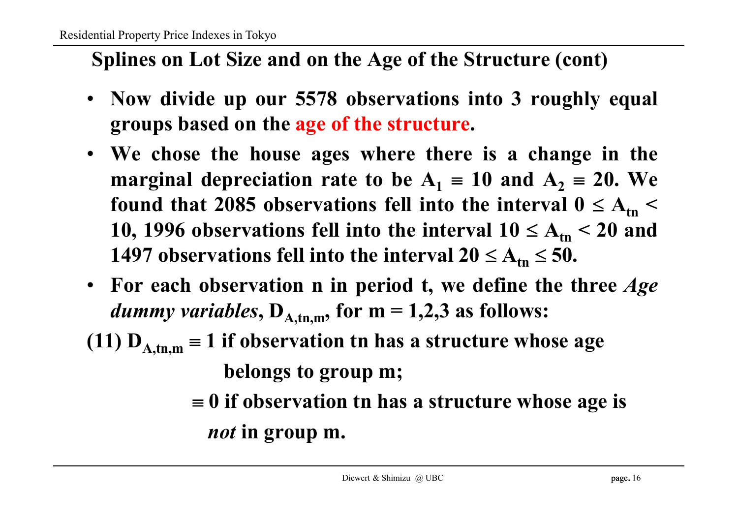## **Splines on Lot Size and on the Age of the Structure (cont)**

- **Now divide up our 5578 observations into 3 roughly equal groups based on the age of the structure.**
- **We chose the house ages where there is a change in the marginal depreciation rate to be**  $A_1 = 10$  and  $A_2 = 20$ . We found that 2085 observations fell into the interval  $0 \le A_{\rm tn} <$ **10, 1996 observations fell into the interval**  $10 \le A_{\text{tn}} < 20$  **and 1497 observations fell into the interval**  $20 \le A_{\text{tn}} \le 50$ **.**
- **For each observation n in period t, we define the three** *Age dummy variables*,  $D_{A,tn,m}$ , for  $m = 1,2,3$  as follows:
- **(11)**  $D_{A,tm,m} \equiv 1$  **if** observation tn has a structure whose age **belongs to group m;**
	- **0 if observation tn has a structure whose age is** *not* **in group m.**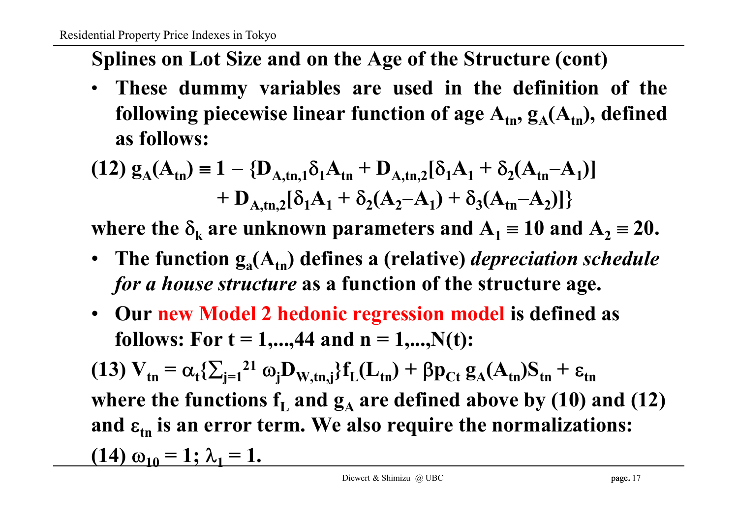**Splines on Lot Size and on the Age of the Structure (cont)**

• **These dummy variables are used in the definition of the** following piecewise linear function of  $\mathbf{age}\ \mathbf{A_{tn}},\ \mathbf{g_A}(\mathbf{A_{tn}}),$  defined **as follows:**

$$
(12) g_A(A_{tn}) = 1 - \{D_{A,tn,1}\delta_1 A_{tn} + D_{A,tn,2}[\delta_1 A_1 + \delta_2 (A_{tn} - A_1)] + D_{A,tn,2}[\delta_1 A_1 + \delta_2 (A_2 - A_1) + \delta_3 (A_{tn} - A_2)]\}
$$

**where the**  $\delta_k$  are unknown parameters and  $A_1 \equiv 10$  and  $A_2 \equiv 20$ .

- **The function g<sup>a</sup> (Atn ) defines a (relative)** *depreciation schedule for a house structure* **as a function of the structure age.**
- **Our new Model 2 hedonic regression model is defined as follows:** For  $t = 1,...,44$  and  $n = 1,...,N(t)$ :

(13)  $V_{tn} = \alpha_t \{\sum_{j=1}^{21} \omega_j D_{W,tn,j}\} f_L(L_{tn}) + \beta p_{Ct} g_A(A_{tn}) S_{tn} + \varepsilon_{tn}$ **where the functions**  $f_L$  **and**  $g_A$  **are defined above by (10) and (12)** and  $\varepsilon_{\text{tn}}$  is an error term. We also require the normalizations:  $(14) \omega_{10} = 1; \lambda_1 = 1.$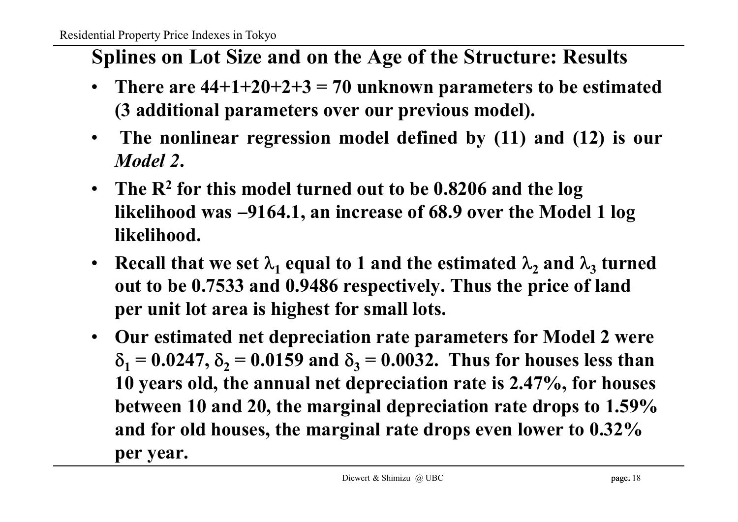# **Splines on Lot Size and on the Age of the Structure: Results**

- **There are 44+1+20+2+3 = 70 unknown parameters to be estimated (3 additional parameters over our previous model).**
- **The nonlinear regression model defined by (11) and (12) is our** *Model 2***.**
- **The R<sup>2</sup> for this model turned out to be 0.8206 and the log likelihood was 9164.1, an increase of 68.9 over the Model 1 log likelihood.**
- **Recall** that we set  $\lambda_1$  equal to 1 and the estimated  $\lambda_2$  and  $\lambda_3$  turned **out to be 0.7533 and 0.9486 respectively. Thus the price of land per unit lot area is highest for small lots.**
- **Our estimated net depreciation rate parameters for Model 2 were**  $\delta_1 = 0.0247, \delta_2 = 0.0159$  and  $\delta_3 = 0.0032$ . Thus for houses less than **10 years old, the annual net depreciation rate is 2.47%, for houses between 10 and 20, the marginal depreciation rate drops to 1.59% and for old houses, the marginal rate drops even lower to 0.32% per year.**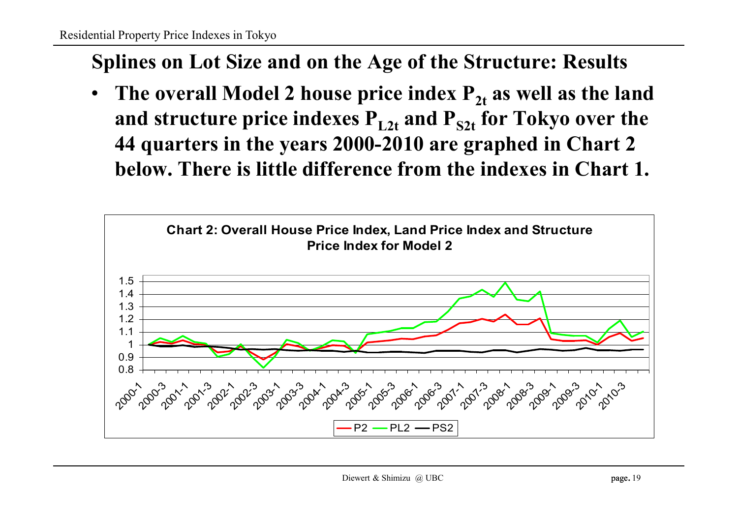## **Splines on Lot Size and on the Age of the Structure: Results**

• The overall Model 2 house price index  $P_{2t}$  as well as the land **and structure price indexes PL2t and PS2t for Tokyo over the 44 quarters in the years 2000-2010 are graphed in Chart 2 below. There is little difference from the indexes in Chart 1.**

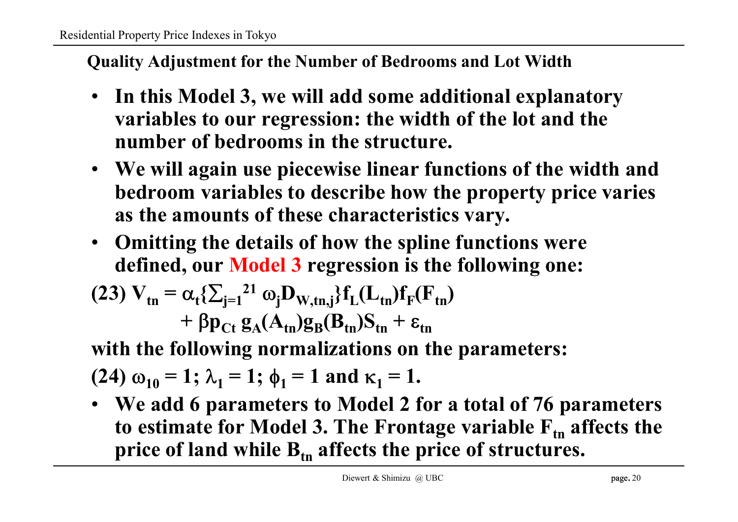#### **Quality Adjustment for the Number of Bedrooms and Lot Width**

- **In this Model 3, we will add some additional explanatory variables to our regression: the width of the lot and the number of bedrooms in the structure.**
- **We will again use piecewise linear functions of the width and bedroom variables to describe how the property price varies as the amounts of these characteristics vary.**
- **Omitting the details of how the spline functions were defined, our Model 3 regression is the following one:**

(23) 
$$
V_{tn} = \alpha_t \{\sum_{j=1}^{21} \omega_j D_{W,tn,j}\} f_L(L_{tn}) f_F(F_{tn}) + \beta p_{Ct} g_A(A_{tn}) g_B(B_{tn}) S_{tn} + \varepsilon_{tn}
$$

**with the following normalizations on the parameters:**

(24) 
$$
\omega_{10} = 1
$$
;  $\lambda_1 = 1$ ;  $\phi_1 = 1$  and  $\kappa_1 = 1$ .

• **We add 6 parameters to Model 2 for a total of 76 parameters to estimate for Model 3. The Frontage variable**  $F_{tn}$  **affects the price of land while Btn affects the price of structures.**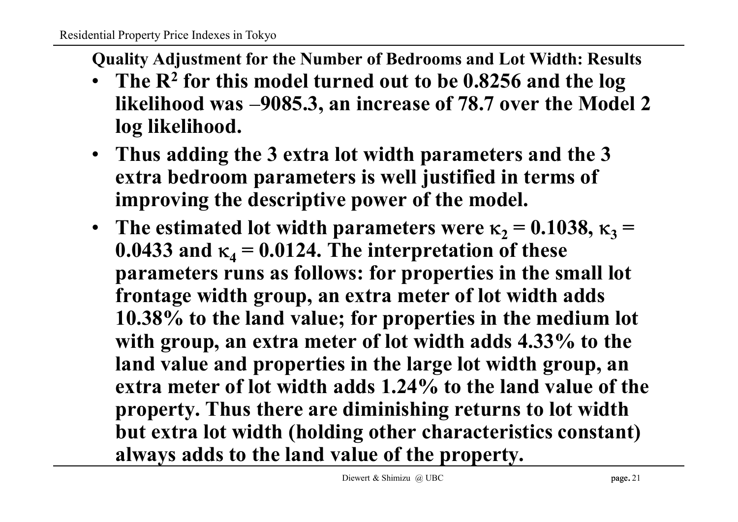**Quality Adjustment for the Number of Bedrooms and Lot Width: Results**

- **The R<sup>2</sup> for this model turned out to be 0.8256 and the log likelihood was 9085.3, an increase of 78.7 over the Model 2 log likelihood.**
- **Thus adding the 3 extra lot width parameters and the 3 extra bedroom parameters is well justified in terms of improving the descriptive power of the model.**
- The estimated lot width parameters were  $\kappa_2 = 0.1038$ ,  $\kappa_3 =$ **0.0433** and  $\kappa_4 = 0.0124$ . The interpretation of these **parameters runs as follows: for properties in the small lot frontage width group, an extra meter of lot width adds 10.38% to the land value; for properties in the medium lot with group, an extra meter of lot width adds 4.33% to the land value and properties in the large lot width group, an extra meter of lot width adds 1.24% to the land value of the property. Thus there are diminishing returns to lot width but extra lot width (holding other characteristics constant) always adds to the land value of the property.**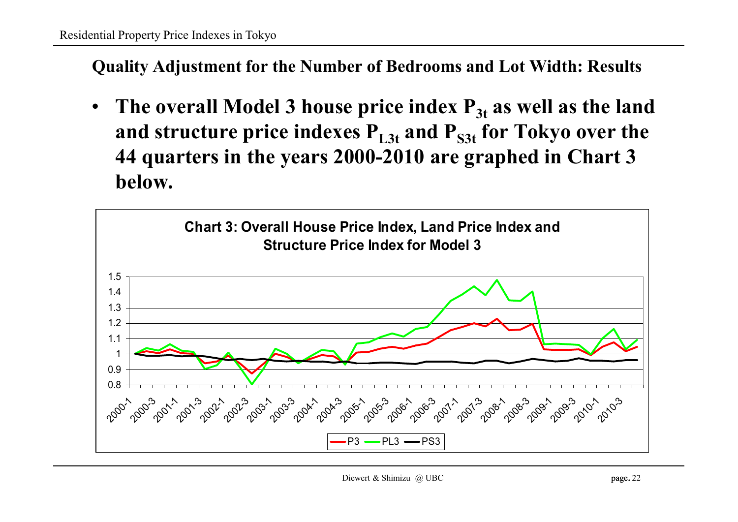**Quality Adjustment for the Number of Bedrooms and Lot Width: Results**

• The overall Model 3 house price index  $P_{3t}$  as well as the land **and structure price indexes PL3t and PS3t for Tokyo over the 44 quarters in the years 2000-2010 are graphed in Chart 3 below.**

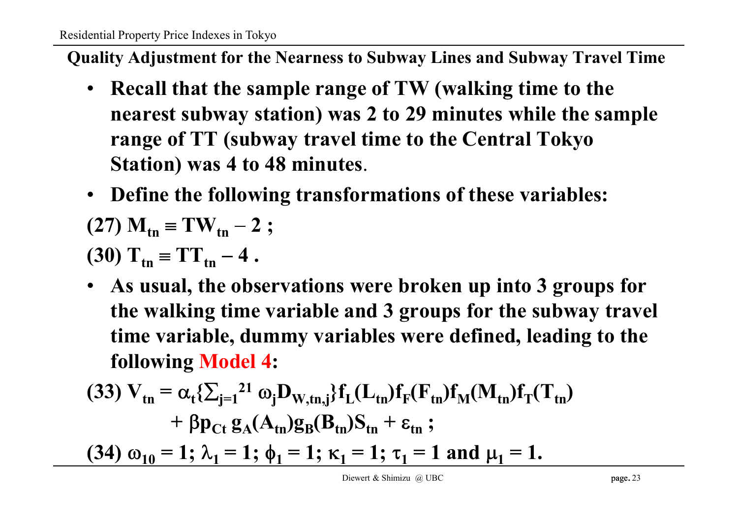**Quality Adjustment for the Nearness to Subway Lines and Subway Travel Time**

- **Recall that the sample range of TW (walking time to the nearest subway station) was 2 to 29 minutes while the sample range of TT (subway travel time to the Central Tokyo Station) was 4 to 48 minutes**.
- **Define the following transformations of these variables:**

$$
(27) M_{\rm tn} \equiv TW_{\rm tn} - 2 ;
$$

$$
(30) T_{\text{tn}} = TT_{\text{tn}} - 4.
$$

• **As usual, the observations were broken up into 3 groups for the walking time variable and 3 groups for the subway travel time variable, dummy variables were defined, leading to the following Model 4:**

(33) 
$$
V_{tn} = \alpha_t \{\sum_{j=1}^{21} \omega_j D_{W,tn,j}\} f_L(L_{tn}) f_F(F_{tn}) f_M(M_{tn}) f_T(T_{tn}) + \beta p_{Ct} g_A(A_{tn}) g_B(B_{tn}) S_{tn} + \epsilon_{tn} ;
$$
  
(34)  $\omega_{10} = 1; \lambda_1 = 1; \phi_1 = 1; \kappa_1 = 1; \tau_1 = 1$  and  $\mu_1 = 1$ .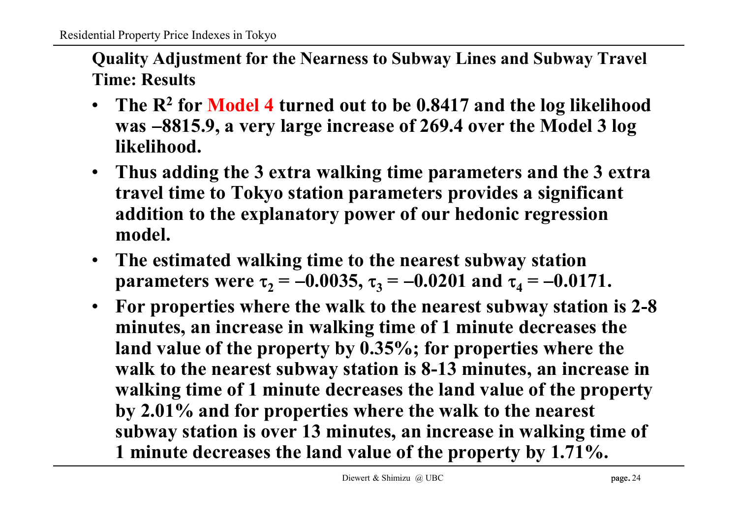**Quality Adjustment for the Nearness to Subway Lines and Subway Travel Time: Results**

- **The R<sup>2</sup> for Model 4 turned out to be 0.8417 and the log likelihood was 8815.9, a very large increase of 269.4 over the Model 3 log likelihood.**
- **Thus adding the 3 extra walking time parameters and the 3 extra travel time to Tokyo station parameters provides a significant addition to the explanatory power of our hedonic regression model.**
- **The estimated walking time to the nearest subway station parameters** were  $\tau_2 = -0.0035$ ,  $\tau_3 = -0.0201$  and  $\tau_4 = -0.0171$ .
- **For properties where the walk to the nearest subway station is 2-8 minutes, an increase in walking time of 1 minute decreases the land value of the property by 0.35%; for properties where the walk to the nearest subway station is 8-13 minutes, an increase in walking time of 1 minute decreases the land value of the property by 2.01% and for properties where the walk to the nearest subway station is over 13 minutes, an increase in walking time of 1 minute decreases the land value of the property by 1.71%.**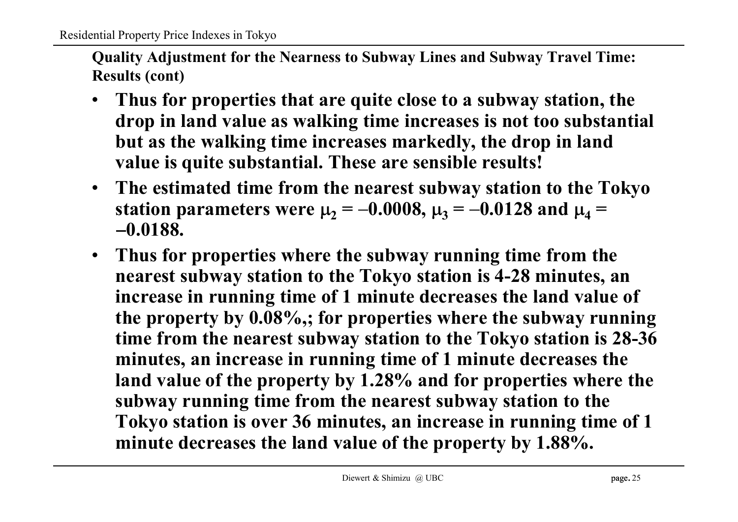**Quality Adjustment for the Nearness to Subway Lines and Subway Travel Time: Results (cont)**

- **Thus for properties that are quite close to a subway station, the drop in land value as walking time increases is not too substantial but as the walking time increases markedly, the drop in land value is quite substantial. These are sensible results!**
- **The estimated time from the nearest subway station to the Tokyo station parameters were**  $\mu_2 = -0.0008$ **,**  $\mu_3 = -0.0128$  **and**  $\mu_4 =$ **0.0188.**
- **Thus for properties where the subway running time from the nearest subway station to the Tokyo station is 4-28 minutes, an increase in running time of 1 minute decreases the land value of the property by 0.08%,; for properties where the subway running time from the nearest subway station to the Tokyo station is 28-36 minutes, an increase in running time of 1 minute decreases the land value of the property by 1.28% and for properties where the subway running time from the nearest subway station to the Tokyo station is over 36 minutes, an increase in running time of 1 minute decreases the land value of the property by 1.88%.**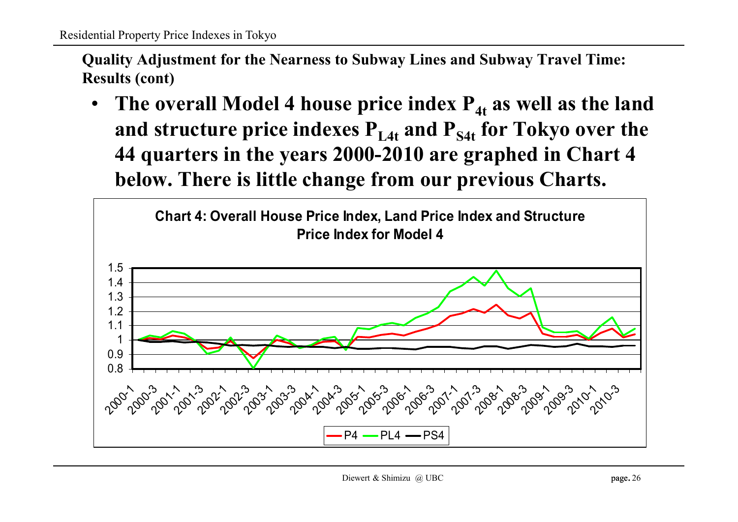**Quality Adjustment for the Nearness to Subway Lines and Subway Travel Time: Results (cont)**

• The overall Model 4 house price index  $P_{4t}$  as well as the land **and structure price indexes PL4t and PS4t for Tokyo over the 44 quarters in the years 2000-2010 are graphed in Chart 4 below. There is little change from our previous Charts.**

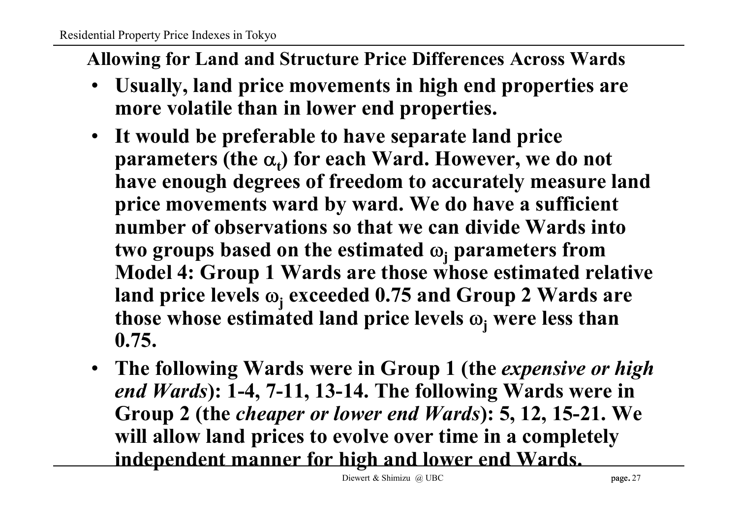### **Allowing for Land and Structure Price Differences Across Wards**

- **Usually, land price movements in high end properties are more volatile than in lower end properties.**
- **It would be preferable to have separate land price parameters (the <sup>t</sup> ) for each Ward. However, we do not have enough degrees of freedom to accurately measure land price movements ward by ward. We do have a sufficient number of observations so that we can divide Wards into two** groups based on the estimated  $\omega_i$  parameters from **Model 4: Group 1 Wards are those whose estimated relative land price levels <sup>j</sup> exceeded 0.75 and Group 2 Wards are those** whose estimated land price levels  $\omega_i$  were less than **0.75.**
- **The following Wards were in Group 1 (the** *expensive or high end Wards***): 1-4, 7-11, 13-14. The following Wards were in Group 2 (the** *cheaper or lower end Wards***): 5, 12, 15-21. We will allow land prices to evolve over time in a completely independent manner for high and lower end Wards.**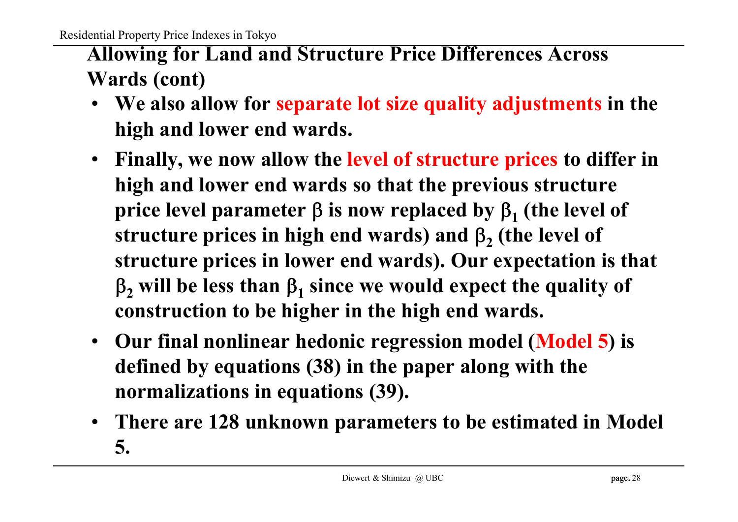# **Allowing for Land and Structure Price Differences Across Wards (cont)**

- **We also allow for separate lot size quality adjustments in the high and lower end wards.**
- **Finally, we now allow the level of structure prices to differ in high and lower end wards so that the previous structure price** level parameter  $\beta$  is now replaced by  $\beta_1$  (the level of **structure prices in high end wards) and <sup>2</sup> (the level of structure prices in lower end wards). Our expectation is that**  $_2$  will be less than  $\beta_1$  since we would expect the quality of **construction to be higher in the high end wards.**
- **Our final nonlinear hedonic regression model (Model 5) is defined by equations (38) in the paper along with the normalizations in equations (39).**
- **There are 128 unknown parameters to be estimated in Model 5.**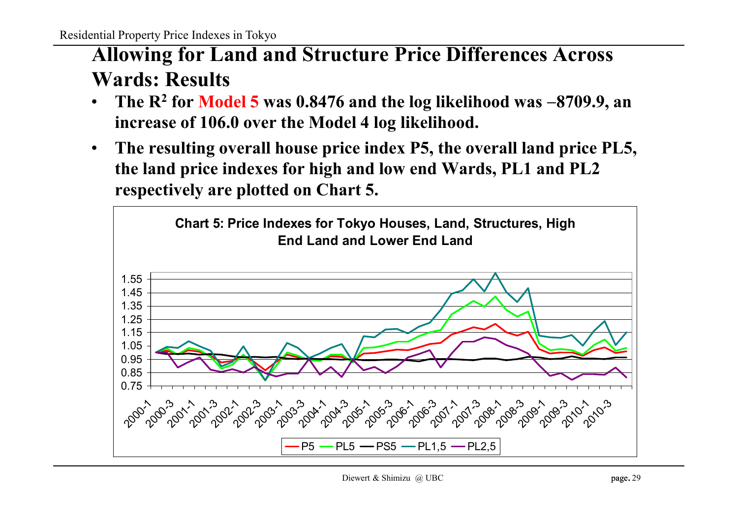# **Allowing for Land and Structure Price Differences Across Wards: Results**

- **The R<sup>2</sup> for Model 5 was 0.8476 and the log likelihood was 8709.9, an increase of 106.0 over the Model 4 log likelihood.**
- **The resulting overall house price index P5, the overall land price PL5, the land price indexes for high and low end Wards, PL1 and PL2 respectively are plotted on Chart 5.**

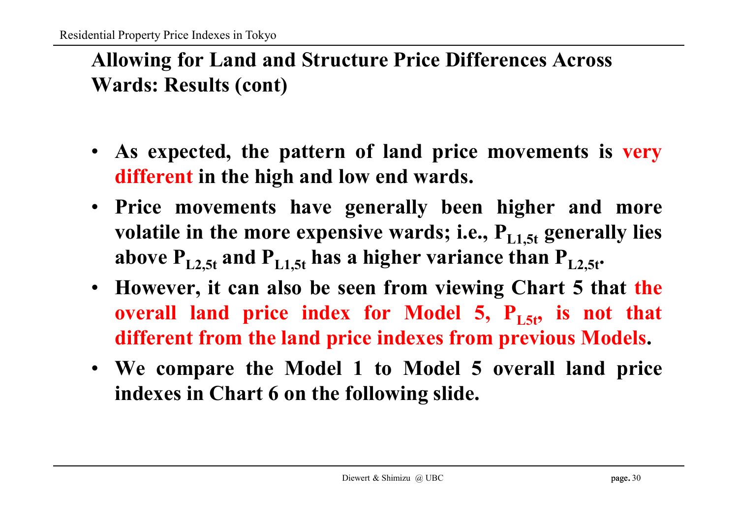# **Allowing for Land and Structure Price Differences Across Wards: Results (cont)**

- **As expected, the pattern of land price movements is very different in the high and low end wards.**
- **Price movements have generally been higher and more** volatile in the more expensive wards; i.e.,  $P_{L1.5t}$  generally lies **above PL2,5t and PL1,5t has a higher variance than PL2,5t .**
- **However, it can also be seen from viewing Chart 5 that the overall land price index for Model 5, PL5t , is not that different from the land price indexes from previous Models.**
- **We compare the Model 1 to Model 5 overall land price indexes in Chart 6 on the following slide.**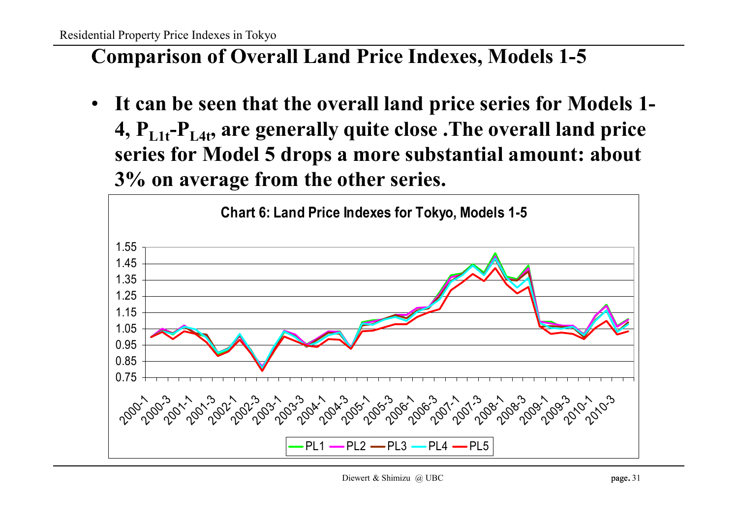## **Comparison of Overall Land Price Indexes, Models 1-5**

• **It can be seen that the overall land price series for Models 1- 4, PL1t -PL4t , are generally quite close .The overall land price series for Model 5 drops a more substantial amount: about 3% on average from the other series.**

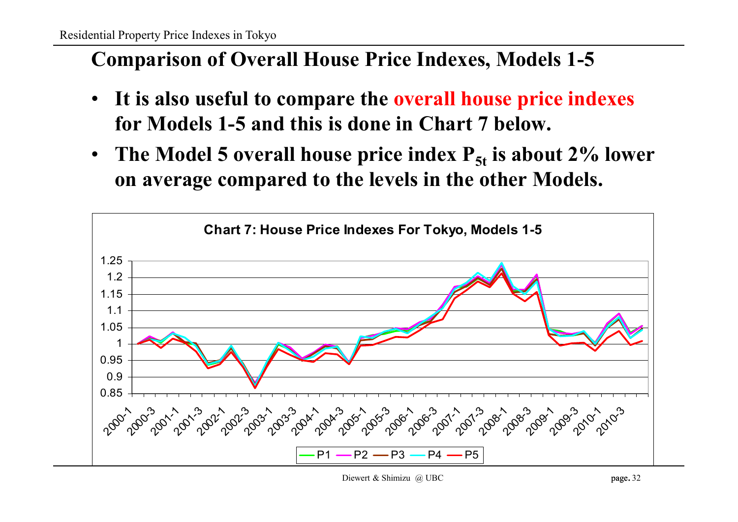## **Comparison of Overall House Price Indexes, Models 1-5**

- **It is also useful to compare the overall house price indexes for Models 1-5 and this is done in Chart 7 below.**
- **The Model 5 overall house price index P5t is about 2% lower on average compared to the levels in the other Models.**

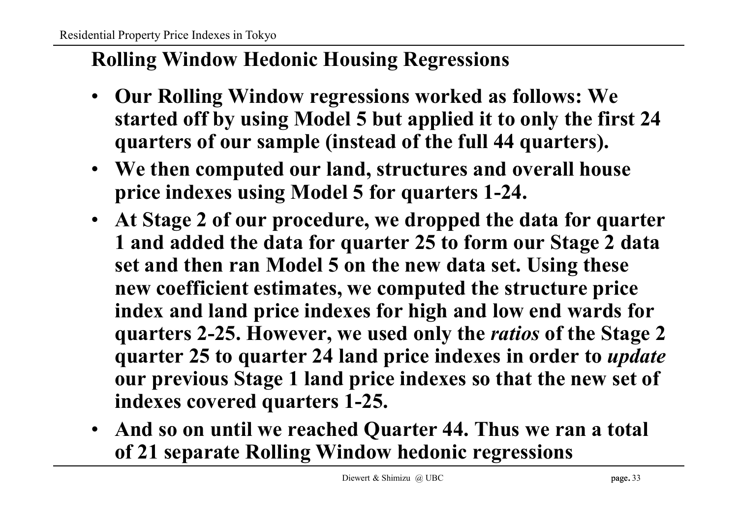# **Rolling Window Hedonic Housing Regressions**

- **Our Rolling Window regressions worked as follows: We started off by using Model 5 but applied it to only the first 24 quarters of our sample (instead of the full 44 quarters).**
- **We then computed our land, structures and overall house price indexes using Model 5 for quarters 1-24.**
- **At Stage 2 of our procedure, we dropped the data for quarter 1 and added the data for quarter 25 to form our Stage 2 data set and then ran Model 5 on the new data set. Using these new coefficient estimates, we computed the structure price index and land price indexes for high and low end wards for quarters 2-25. However, we used only the** *ratios* **of the Stage 2 quarter 25 to quarter 24 land price indexes in order to** *update* **our previous Stage 1 land price indexes so that the new set of indexes covered quarters 1-25.**
- **And so on until we reached Quarter 44. Thus we ran a total of 21 separate Rolling Window hedonic regressions**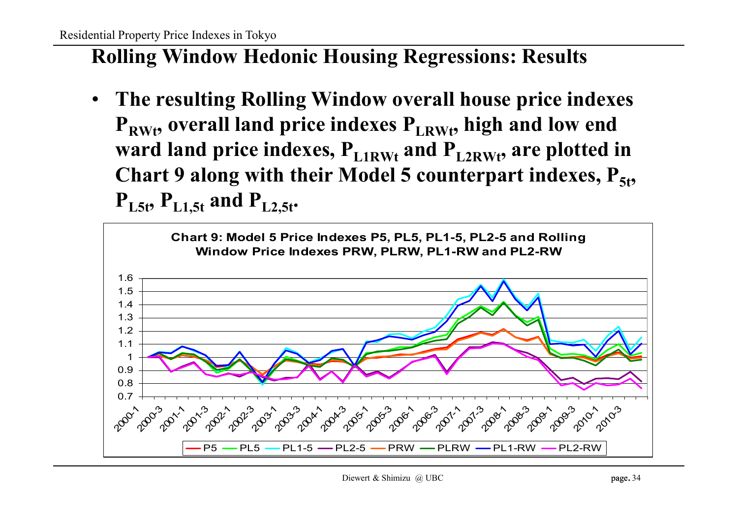## **Rolling Window Hedonic Housing Regressions: Results**

• **The resulting Rolling Window overall house price indexes PRWt , overall land price indexes PLRWt , high and low end ward land price indexes, PL1RWt and PL2RWt , are plotted in** Chart 9 along with their Model 5 counterpart indexes,  $P_{5t}$ ,  $P_{L5t}$ ,  $P_{L1,5t}$  and  $P_{L2,5t}$ 

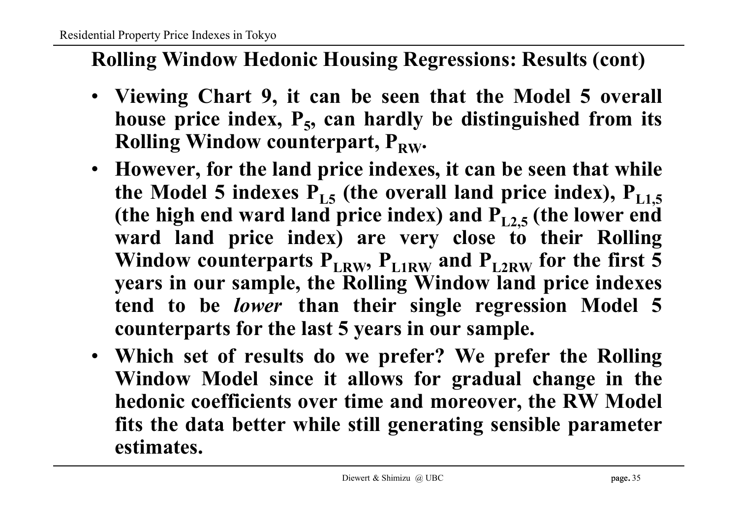## **Rolling Window Hedonic Housing Regressions: Results (cont)**

- **Viewing Chart 9, it can be seen that the Model 5 overall house price index, P<sup>5</sup> , can hardly be distinguished from its Rolling Window counterpart,**  $P_{RW}$ **.**
- **However, for the land price indexes, it can be seen that while the Model 5 indexes**  $P_{L5}$  **(the overall land price index),**  $P_{L1,5}$ **(the high end ward land price index) and PL2,5 (the lower end ward land price index) are very close to their Rolling Window** counterparts  $P_{LRW}$ ,  $P_{LRW}$  and  $P_{L2RW}$  for the first 5 **years in our sample, the Rolling Window land price indexes tend to be** *lower* **than their single regression Model 5 counterparts for the last 5 years in our sample.**
- **Which set of results do we prefer? We prefer the Rolling Window Model since it allows for gradual change in the hedonic coefficients over time and moreover, the RW Model fits the data better while still generating sensible parameter estimates.**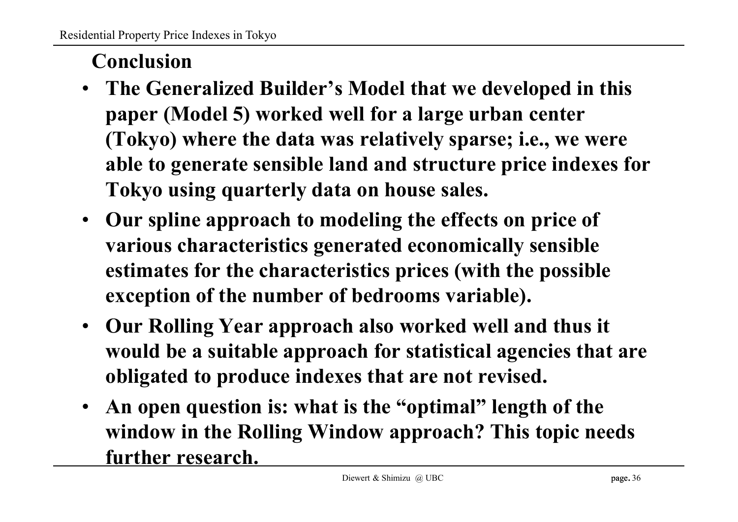## **Conclusion**

- **The Generalized Builder's Model that we developed in this paper (Model 5) worked well for a large urban center (Tokyo) where the data was relatively sparse; i.e., we were able to generate sensible land and structure price indexes for Tokyo using quarterly data on house sales.**
- **Our spline approach to modeling the effects on price of various characteristics generated economically sensible estimates for the characteristics prices (with the possible exception of the number of bedrooms variable).**
- **Our Rolling Year approach also worked well and thus it would be a suitable approach for statistical agencies that are obligated to produce indexes that are not revised.**
- **An open question is: what is the "optimal" length of the window in the Rolling Window approach? This topic needs further research.**